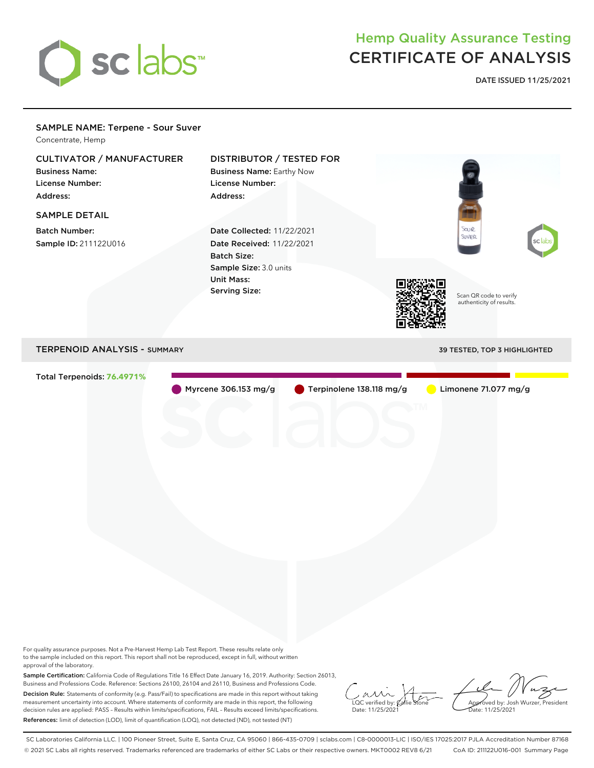

## Hemp Quality Assurance Testing CERTIFICATE OF ANALYSIS

**DATE ISSUED 11/25/2021**

## SAMPLE NAME: Terpene - Sour Suver Concentrate, Hemp CULTIVATOR / MANUFACTURER DISTRIBUTOR / TESTED FOR Business Name: Business Name: Earthy Now License Number: License Number: Address: Address: SAMPLE DETAIL .<br>XXII Batch Number: Date Collected: 11/22/2021 UVER Sample ID: 211122U016 Date Received: 11/22/2021 Batch Size: Sample Size: 3.0 units Unit Mass: Serving Size: Scan QR code to verify authenticity of results. TERPENOID ANALYSIS - SUMMARY 39 TESTED, TOP 3 HIGHLIGHTED Total Terpenoids: **76.4971%** Myrcene 306.153 mg/g Terpinolene 138.118 mg/g Limonene 71.077 mg/g

For quality assurance purposes. Not a Pre-Harvest Hemp Lab Test Report. These results relate only to the sample included on this report. This report shall not be reproduced, except in full, without written approval of the laboratory.

Sample Certification: California Code of Regulations Title 16 Effect Date January 16, 2019. Authority: Section 26013, Business and Professions Code. Reference: Sections 26100, 26104 and 26110, Business and Professions Code. Decision Rule: Statements of conformity (e.g. Pass/Fail) to specifications are made in this report without taking measurement uncertainty into account. Where statements of conformity are made in this report, the following decision rules are applied: PASS – Results within limits/specifications, FAIL – Results exceed limits/specifications. References: limit of detection (LOD), limit of quantification (LOQ), not detected (ND), not tested (NT)

 $\overline{\text{LOC}}$  verified by:  $\mathcal C$ Date: 11/25/2021

Approved by: Josh Wurzer, President ate: 11/25/2021

SC Laboratories California LLC. | 100 Pioneer Street, Suite E, Santa Cruz, CA 95060 | 866-435-0709 | sclabs.com | C8-0000013-LIC | ISO/IES 17025:2017 PJLA Accreditation Number 87168 © 2021 SC Labs all rights reserved. Trademarks referenced are trademarks of either SC Labs or their respective owners. MKT0002 REV8 6/21 CoA ID: 211122U016-001 Summary Page